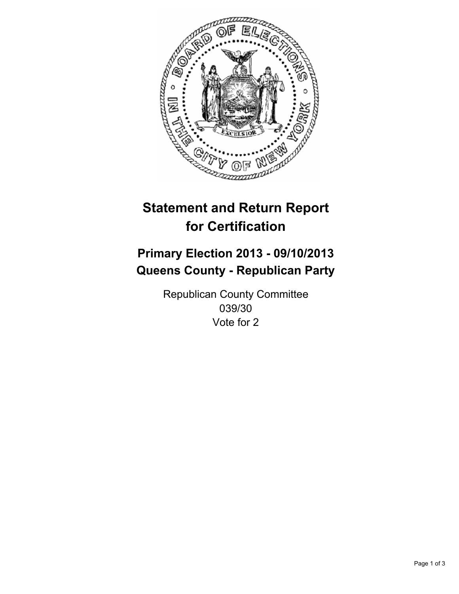

# **Statement and Return Report for Certification**

## **Primary Election 2013 - 09/10/2013 Queens County - Republican Party**

Republican County Committee 039/30 Vote for 2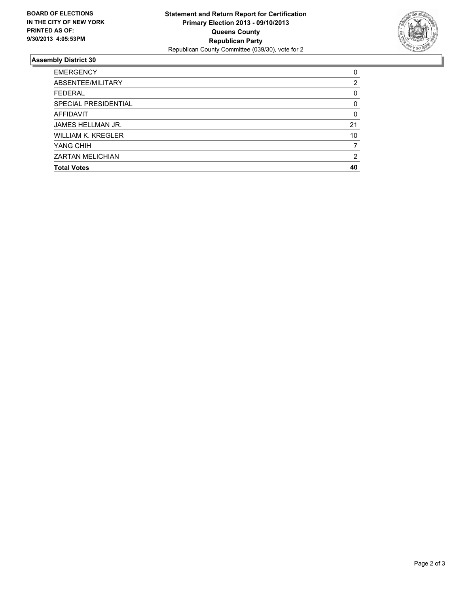

### **Assembly District 30**

| 0        |
|----------|
| 2        |
| 0        |
| 0        |
| $\Omega$ |
| 21       |
| 10       |
|          |
| 2        |
| 40       |
|          |